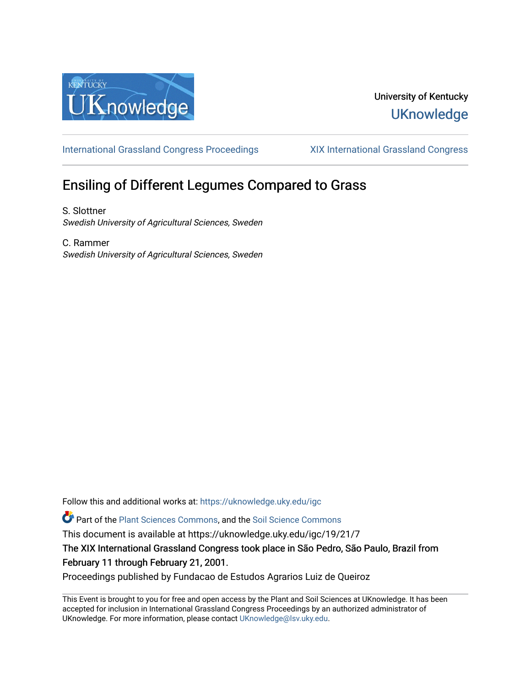

# University of Kentucky **UKnowledge**

[International Grassland Congress Proceedings](https://uknowledge.uky.edu/igc) [XIX International Grassland Congress](https://uknowledge.uky.edu/igc/19) 

# Ensiling of Different Legumes Compared to Grass

S. Slottner Swedish University of Agricultural Sciences, Sweden

C. Rammer Swedish University of Agricultural Sciences, Sweden

Follow this and additional works at: [https://uknowledge.uky.edu/igc](https://uknowledge.uky.edu/igc?utm_source=uknowledge.uky.edu%2Figc%2F19%2F21%2F7&utm_medium=PDF&utm_campaign=PDFCoverPages) 

Part of the [Plant Sciences Commons](http://network.bepress.com/hgg/discipline/102?utm_source=uknowledge.uky.edu%2Figc%2F19%2F21%2F7&utm_medium=PDF&utm_campaign=PDFCoverPages), and the [Soil Science Commons](http://network.bepress.com/hgg/discipline/163?utm_source=uknowledge.uky.edu%2Figc%2F19%2F21%2F7&utm_medium=PDF&utm_campaign=PDFCoverPages) 

This document is available at https://uknowledge.uky.edu/igc/19/21/7

The XIX International Grassland Congress took place in São Pedro, São Paulo, Brazil from February 11 through February 21, 2001.

Proceedings published by Fundacao de Estudos Agrarios Luiz de Queiroz

This Event is brought to you for free and open access by the Plant and Soil Sciences at UKnowledge. It has been accepted for inclusion in International Grassland Congress Proceedings by an authorized administrator of UKnowledge. For more information, please contact [UKnowledge@lsv.uky.edu](mailto:UKnowledge@lsv.uky.edu).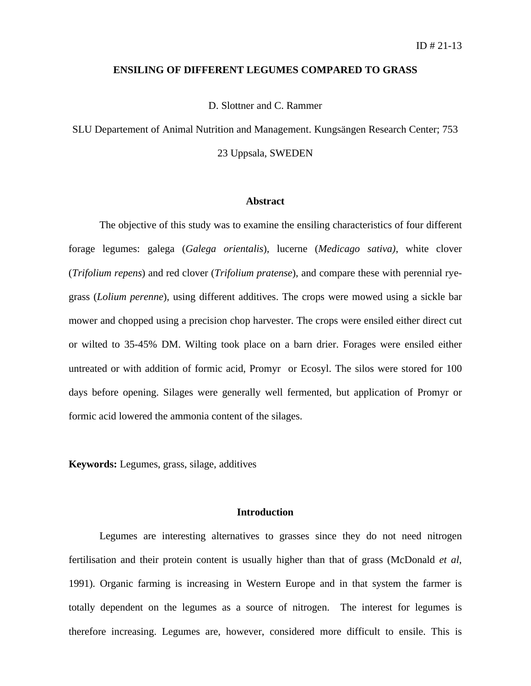### **ENSILING OF DIFFERENT LEGUMES COMPARED TO GRASS**

D. Slottner and C. Rammer

SLU Departement of Animal Nutrition and Management. Kungsängen Research Center; 753 23 Uppsala, SWEDEN

# **Abstract**

The objective of this study was to examine the ensiling characteristics of four different forage legumes: galega (*Galega orientalis*), lucerne (*Medicago sativa)*, white clover (*Trifolium repens*) and red clover (*Trifolium pratense*), and compare these with perennial ryegrass (*Lolium perenne*), using different additives. The crops were mowed using a sickle bar mower and chopped using a precision chop harvester. The crops were ensiled either direct cut or wilted to 35-45% DM. Wilting took place on a barn drier. Forages were ensiled either untreated or with addition of formic acid, Promyr or Ecosyl. The silos were stored for 100 days before opening. Silages were generally well fermented, but application of Promyr or formic acid lowered the ammonia content of the silages.

**Keywords:** Legumes, grass, silage, additives

#### **Introduction**

Legumes are interesting alternatives to grasses since they do not need nitrogen fertilisation and their protein content is usually higher than that of grass (McDonald *et al*, 1991). Organic farming is increasing in Western Europe and in that system the farmer is totally dependent on the legumes as a source of nitrogen. The interest for legumes is therefore increasing. Legumes are, however, considered more difficult to ensile. This is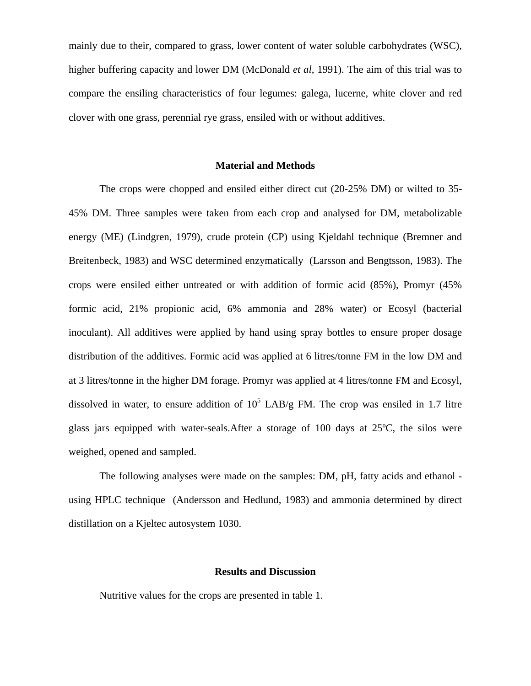mainly due to their, compared to grass, lower content of water soluble carbohydrates (WSC), higher buffering capacity and lower DM (McDonald *et al*, 1991). The aim of this trial was to compare the ensiling characteristics of four legumes: galega, lucerne, white clover and red clover with one grass, perennial rye grass, ensiled with or without additives.

# **Material and Methods**

The crops were chopped and ensiled either direct cut (20-25% DM) or wilted to 35- 45% DM. Three samples were taken from each crop and analysed for DM, metabolizable energy (ME) (Lindgren, 1979), crude protein (CP) using Kjeldahl technique (Bremner and Breitenbeck, 1983) and WSC determined enzymatically (Larsson and Bengtsson, 1983). The crops were ensiled either untreated or with addition of formic acid (85%), Promyr (45% formic acid, 21% propionic acid, 6% ammonia and 28% water) or Ecosyl (bacterial inoculant). All additives were applied by hand using spray bottles to ensure proper dosage distribution of the additives. Formic acid was applied at 6 litres/tonne FM in the low DM and at 3 litres/tonne in the higher DM forage. Promyr was applied at 4 litres/tonne FM and Ecosyl, dissolved in water, to ensure addition of  $10^5$  LAB/g FM. The crop was ensiled in 1.7 litre glass jars equipped with water-seals.After a storage of 100 days at 25ºC, the silos were weighed, opened and sampled.

The following analyses were made on the samples: DM, pH, fatty acids and ethanol using HPLC technique (Andersson and Hedlund, 1983) and ammonia determined by direct distillation on a Kjeltec autosystem 1030.

# **Results and Discussion**

Nutritive values for the crops are presented in table 1.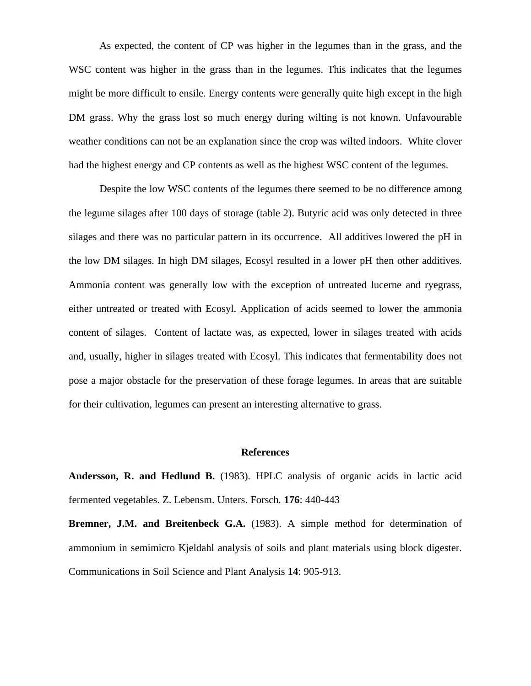As expected, the content of CP was higher in the legumes than in the grass, and the WSC content was higher in the grass than in the legumes. This indicates that the legumes might be more difficult to ensile. Energy contents were generally quite high except in the high DM grass. Why the grass lost so much energy during wilting is not known. Unfavourable weather conditions can not be an explanation since the crop was wilted indoors. White clover had the highest energy and CP contents as well as the highest WSC content of the legumes.

Despite the low WSC contents of the legumes there seemed to be no difference among the legume silages after 100 days of storage (table 2). Butyric acid was only detected in three silages and there was no particular pattern in its occurrence. All additives lowered the pH in the low DM silages. In high DM silages, Ecosyl resulted in a lower pH then other additives. Ammonia content was generally low with the exception of untreated lucerne and ryegrass, either untreated or treated with Ecosyl. Application of acids seemed to lower the ammonia content of silages. Content of lactate was, as expected, lower in silages treated with acids and, usually, higher in silages treated with Ecosyl. This indicates that fermentability does not pose a major obstacle for the preservation of these forage legumes. In areas that are suitable for their cultivation, legumes can present an interesting alternative to grass.

# **References**

**Andersson, R. and Hedlund B.** (1983). HPLC analysis of organic acids in lactic acid fermented vegetables. Z. Lebensm. Unters. Forsch*.* **176**: 440-443

**Bremner, J.M. and Breitenbeck G.A.** (1983). A simple method for determination of ammonium in semimicro Kjeldahl analysis of soils and plant materials using block digester. Communications in Soil Science and Plant Analysis **14**: 905-913.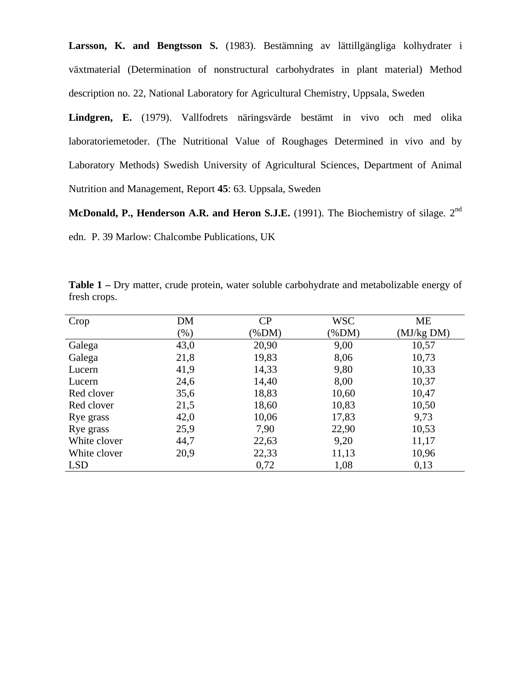**Larsson, K. and Bengtsson S.** (1983). Bestämning av lättillgängliga kolhydrater i växtmaterial (Determination of nonstructural carbohydrates in plant material) Method description no. 22, National Laboratory for Agricultural Chemistry*,* Uppsala, Sweden

**Lindgren, E.** (1979). Vallfodrets näringsvärde bestämt in vivo och med olika laboratoriemetoder. (The Nutritional Value of Roughages Determined in vivo and by Laboratory Methods) Swedish University of Agricultural Sciences, Department of Animal Nutrition and Management, Report **45**: 63. Uppsala, Sweden

**McDonald, P., Henderson A.R. and Heron S.J.E.** (1991). The Biochemistry of silage*.* 2nd

edn. P. 39 Marlow: Chalcombe Publications, UK

| Crop         | DM      | CP       | <b>WSC</b> | ME         |
|--------------|---------|----------|------------|------------|
|              | $(\% )$ | $(\%DM)$ | $(\%DM)$   | (MJ/kg DM) |
| Galega       | 43,0    | 20,90    | 9,00       | 10,57      |
| Galega       | 21,8    | 19,83    | 8,06       | 10,73      |
| Lucern       | 41,9    | 14,33    | 9,80       | 10,33      |
| Lucern       | 24,6    | 14,40    | 8,00       | 10,37      |
| Red clover   | 35,6    | 18,83    | 10,60      | 10,47      |
| Red clover   | 21,5    | 18,60    | 10,83      | 10,50      |
| Rye grass    | 42,0    | 10,06    | 17,83      | 9,73       |
| Rye grass    | 25,9    | 7,90     | 22,90      | 10,53      |
| White clover | 44,7    | 22,63    | 9,20       | 11,17      |
| White clover | 20,9    | 22,33    | 11,13      | 10,96      |
| <b>LSD</b>   |         | 0,72     | 1,08       | 0,13       |

**Table 1 –** Dry matter, crude protein, water soluble carbohydrate and metabolizable energy of fresh crops.